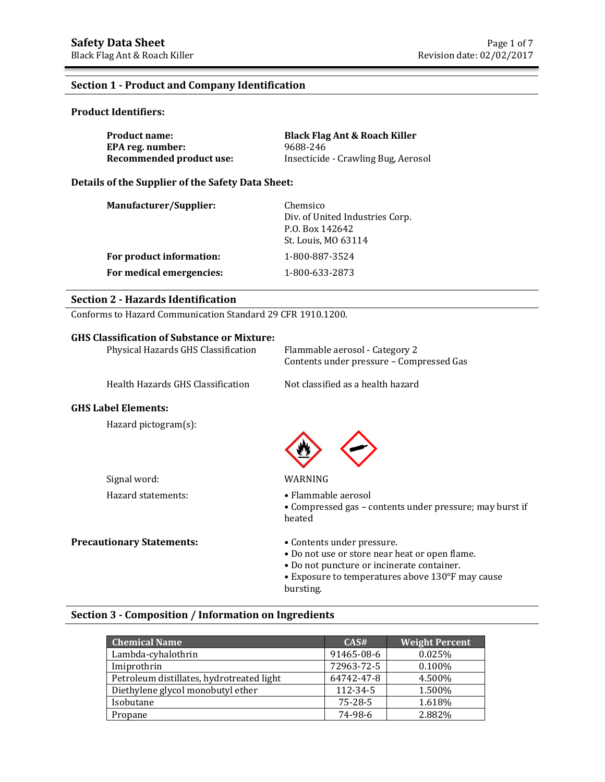### **Section 1 - Product and Company Identification**

### **Product Identifiers:**

| <b>Product name:</b>     | <b>Black Flag Ant &amp; Roach Killer</b> |
|--------------------------|------------------------------------------|
| EPA reg. number:         | 9688-246                                 |
| Recommended product use: | Insecticide - Crawling Bug, Aerosol      |

### **Details of the Supplier of the Safety Data Sheet:**

| <b>Manufacturer/Supplier:</b> | Chemsico<br>Div. of United Industries Corp.<br>P.O. Box 142642<br>St. Louis, MO 63114 |
|-------------------------------|---------------------------------------------------------------------------------------|
| For product information:      | 1-800-887-3524                                                                        |
| For medical emergencies:      | 1-800-633-2873                                                                        |

## **Section 2 - Hazards Identification**

Conforms to Hazard Communication Standard 29 CFR 1910.1200.

## **GHS Classification of Substance or Mixture:**

| Physical Hazards GHS Classification | Flammable aerosol - Category 2<br>Contents under pressure - Compressed Gas |
|-------------------------------------|----------------------------------------------------------------------------|
| Health Hazards GHS Classification   | Not classified as a health hazard                                          |
| <b>GHS Label Elements:</b>          |                                                                            |
| Hazard pictogram(s):                |                                                                            |

Signal word: WARNING Hazard statements: • Flammable aerosol

### **Precautionary Statements:** • Contents under pressure.

- 
- Do not use or store near heat or open flame.
- Do not puncture or incinerate container.
- Exposure to temperatures above 130°F may cause bursting.

• Compressed gas – contents under pressure; may burst if

### **Section 3 - Composition / Information on Ingredients**

| <b>Chemical Name</b>                      | CAS#          | <b>Weight Percent</b> |
|-------------------------------------------|---------------|-----------------------|
| Lambda-cyhalothrin                        | 91465-08-6    | 0.025%                |
| Imiprothrin                               | 72963-72-5    | 0.100%                |
| Petroleum distillates, hydrotreated light | 64742-47-8    | 4.500%                |
| Diethylene glycol monobutyl ether         | 112-34-5      | 1.500%                |
| Isobutane                                 | $75 - 28 - 5$ | 1.618%                |
| Propane                                   | 74-98-6       | 2.882%                |

heated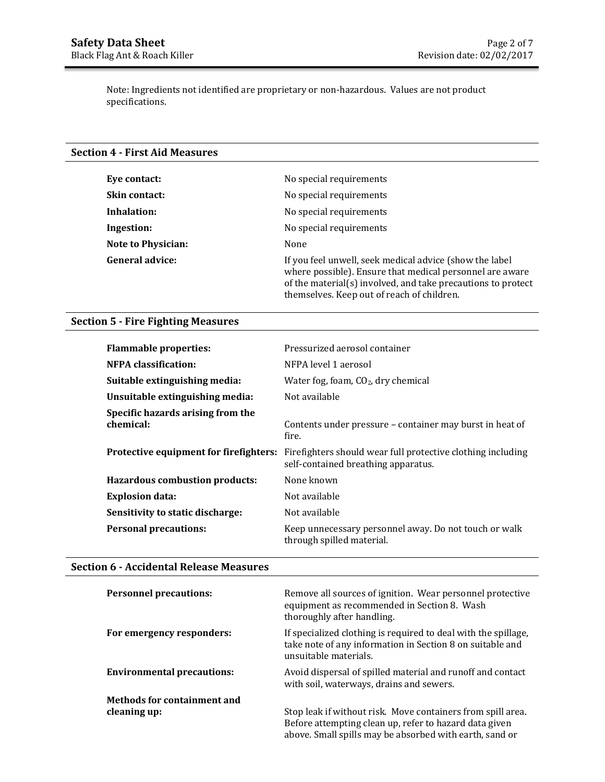Note: Ingredients not identified are proprietary or non-hazardous. Values are not product specifications.

### **Section 4 - First Aid Measures**

| Eye contact:              | No special requirements                                                                                                                                                                                                           |
|---------------------------|-----------------------------------------------------------------------------------------------------------------------------------------------------------------------------------------------------------------------------------|
| <b>Skin contact:</b>      | No special requirements                                                                                                                                                                                                           |
| Inhalation:               | No special requirements                                                                                                                                                                                                           |
| Ingestion:                | No special requirements                                                                                                                                                                                                           |
| <b>Note to Physician:</b> | None                                                                                                                                                                                                                              |
| <b>General advice:</b>    | If you feel unwell, seek medical advice (show the label<br>where possible). Ensure that medical personnel are aware<br>of the material(s) involved, and take precautions to protect<br>themselves. Keep out of reach of children. |

## **Section 5 - Fire Fighting Measures**

| <b>Flammable properties:</b>                   | Pressurized aerosol container                                                                      |
|------------------------------------------------|----------------------------------------------------------------------------------------------------|
| NFPA classification:                           | NFPA level 1 aerosol                                                                               |
| Suitable extinguishing media:                  | Water fog, foam, $CO2$ , dry chemical                                                              |
| Unsuitable extinguishing media:                | Not available                                                                                      |
| Specific hazards arising from the<br>chemical: | Contents under pressure – container may burst in heat of<br>fire.                                  |
| Protective equipment for firefighters:         | Firefighters should wear full protective clothing including<br>self-contained breathing apparatus. |
| <b>Hazardous combustion products:</b>          | None known                                                                                         |
| <b>Explosion data:</b>                         | Not available                                                                                      |
| Sensitivity to static discharge:               | Not available                                                                                      |
| <b>Personal precautions:</b>                   | Keep unnecessary personnel away. Do not touch or walk<br>through spilled material.                 |

## **Section 6 - Accidental Release Measures**

| <b>Personnel precautions:</b>               | Remove all sources of ignition. Wear personnel protective<br>equipment as recommended in Section 8. Wash<br>thoroughly after handling.                                           |
|---------------------------------------------|----------------------------------------------------------------------------------------------------------------------------------------------------------------------------------|
| For emergency responders:                   | If specialized clothing is required to deal with the spillage,<br>take note of any information in Section 8 on suitable and<br>unsuitable materials.                             |
| <b>Environmental precautions:</b>           | Avoid dispersal of spilled material and runoff and contact<br>with soil, waterways, drains and sewers.                                                                           |
| Methods for containment and<br>cleaning up: | Stop leak if without risk. Move containers from spill area.<br>Before attempting clean up, refer to hazard data given<br>above. Small spills may be absorbed with earth, sand or |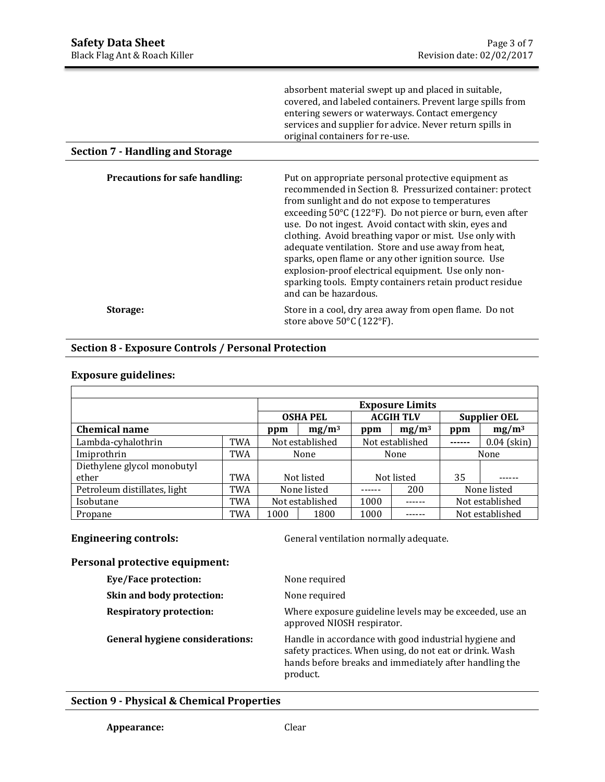| absorbent material swept up and placed in suitable,        |
|------------------------------------------------------------|
| covered, and labeled containers. Prevent large spills from |
| entering sewers or waterways. Contact emergency            |
| services and supplier for advice. Never return spills in   |
| original containers for re-use.                            |

## **Section 7 - Handling and Storage**

| <b>Precautions for safe handling:</b> | Put on appropriate personal protective equipment as<br>recommended in Section 8. Pressurized container: protect<br>from sunlight and do not expose to temperatures<br>exceeding 50°C (122°F). Do not pierce or burn, even after<br>use. Do not ingest. Avoid contact with skin, eyes and<br>clothing. Avoid breathing vapor or mist. Use only with<br>adequate ventilation. Store and use away from heat,<br>sparks, open flame or any other ignition source. Use<br>explosion-proof electrical equipment. Use only non-<br>sparking tools. Empty containers retain product residue<br>and can be hazardous. |
|---------------------------------------|--------------------------------------------------------------------------------------------------------------------------------------------------------------------------------------------------------------------------------------------------------------------------------------------------------------------------------------------------------------------------------------------------------------------------------------------------------------------------------------------------------------------------------------------------------------------------------------------------------------|
| Storage:                              | Store in a cool, dry area away from open flame. Do not<br>store above 50°C (122°F).                                                                                                                                                                                                                                                                                                                                                                                                                                                                                                                          |

## **Section 8 - Exposure Controls / Personal Protection**

## **Exposure guidelines:**

|                              |     |                 |                 | <b>Exposure Limits</b> |                 |                     |               |
|------------------------------|-----|-----------------|-----------------|------------------------|-----------------|---------------------|---------------|
|                              |     |                 | <b>OSHA PEL</b> | <b>ACGIH TLV</b>       |                 | <b>Supplier OEL</b> |               |
| <b>Chemical name</b>         |     | $mg/m^3$<br>ppm |                 | ppm                    | $mg/m^3$        | ppm                 | $mg/m^3$      |
| Lambda-cyhalothrin           | TWA | Not established |                 |                        | Not established | .                   | $0.04$ (skin) |
| Imiprothrin                  | TWA | None            |                 | None                   |                 | None                |               |
| Diethylene glycol monobutyl  |     |                 |                 |                        |                 |                     |               |
| ether                        | TWA | Not listed      |                 |                        | Not listed      | 35                  |               |
| Petroleum distillates, light | TWA | None listed     |                 |                        | 200             | None listed         |               |
| Isobutane                    | TWA | Not established |                 | 1000                   |                 | Not established     |               |
| Propane                      | TWA | 1000<br>1800    |                 | 1000                   |                 | Not established     |               |

**Engineering controls: General ventilation normally adequate.** 

## **Personal protective equipment:**

| Eye/Face protection:                   | None required                                                                                                                                                                          |
|----------------------------------------|----------------------------------------------------------------------------------------------------------------------------------------------------------------------------------------|
| Skin and body protection:              | None required                                                                                                                                                                          |
| <b>Respiratory protection:</b>         | Where exposure guideline levels may be exceeded, use an<br>approved NIOSH respirator.                                                                                                  |
| <b>General hygiene considerations:</b> | Handle in accordance with good industrial hygiene and<br>safety practices. When using, do not eat or drink. Wash<br>hands before breaks and immediately after handling the<br>product. |

## **Section 9 - Physical & Chemical Properties**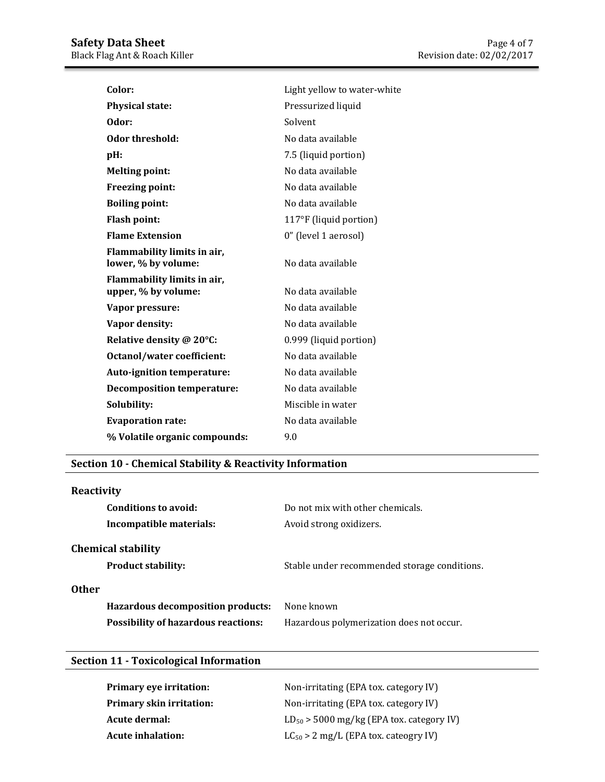| Light yellow to water-white |
|-----------------------------|
| Pressurized liquid          |
| Solvent                     |
| No data available           |
| 7.5 (liquid portion)        |
| No data available           |
| No data available           |
| No data available           |
| 117°F (liquid portion)      |
| 0" (level 1 aerosol)        |
| No data available           |
| No data available           |
| No data available           |
| No data available           |
| 0.999 (liquid portion)      |
| No data available           |
| No data available           |
| No data available           |
| Miscible in water           |
| No data available           |
| 9.0                         |
|                             |

## **Section 10 - Chemical Stability & Reactivity Information**

| Reactivity                                             |                                              |
|--------------------------------------------------------|----------------------------------------------|
| Conditions to avoid:                                   | Do not mix with other chemicals.             |
| Incompatible materials:                                | Avoid strong oxidizers.                      |
| <b>Chemical stability</b><br><b>Product stability:</b> | Stable under recommended storage conditions. |
| <b>Other</b>                                           |                                              |
| Hazardous decomposition products:                      | None known                                   |
| <b>Possibility of hazardous reactions:</b>             | Hazardous polymerization does not occur.     |
|                                                        |                                              |

# **Section 11 - Toxicological Information**

| <b>Primary eye irritation:</b>  | Non-irritating (EPA tox. category IV)         |
|---------------------------------|-----------------------------------------------|
| <b>Primary skin irritation:</b> | Non-irritating (EPA tox. category IV)         |
| Acute dermal:                   | $LD_{50}$ > 5000 mg/kg (EPA tox. category IV) |
| Acute inhalation:               | $LC_{50}$ > 2 mg/L (EPA tox. cateogry IV)     |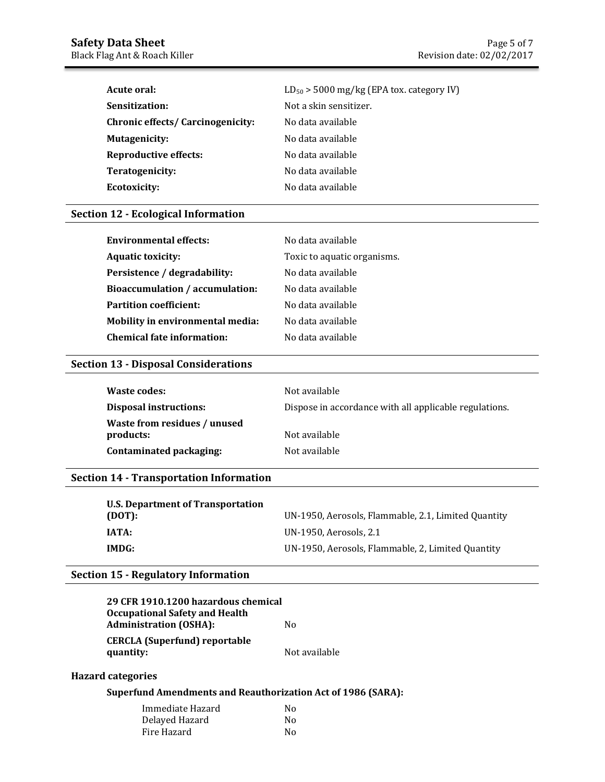| Acute oral:                              | $LD_{50}$ > 5000 mg/kg (EPA tox. category IV) |
|------------------------------------------|-----------------------------------------------|
| Sensitization:                           | Not a skin sensitizer.                        |
| <b>Chronic effects/ Carcinogenicity:</b> | No data available                             |
| <b>Mutagenicity:</b>                     | No data available                             |
| <b>Reproductive effects:</b>             | No data available                             |
| Teratogenicity:                          | No data available                             |
| <b>Ecotoxicity:</b>                      | No data available                             |

### **Section 12 - Ecological Information**

| <b>Environmental effects:</b>           | No data available           |
|-----------------------------------------|-----------------------------|
| <b>Aquatic toxicity:</b>                | Toxic to aquatic organisms. |
| Persistence / degradability:            | No data available           |
| <b>Bioaccumulation / accumulation:</b>  | No data available           |
| <b>Partition coefficient:</b>           | No data available           |
| <b>Mobility in environmental media:</b> | No data available           |
| <b>Chemical fate information:</b>       | No data available           |

## **Section 13 - Disposal Considerations**

| Waste codes:                              | Not available                                          |
|-------------------------------------------|--------------------------------------------------------|
| <b>Disposal instructions:</b>             | Dispose in accordance with all applicable regulations. |
| Waste from residues / unused<br>products: | Not available                                          |
| Contaminated packaging:                   | Not available                                          |

## **Section 14 - Transportation Information**

| U.S. Department of Transportation |                                                     |
|-----------------------------------|-----------------------------------------------------|
| (DOT):                            | UN-1950, Aerosols, Flammable, 2.1, Limited Quantity |
| IATA:                             | UN-1950, Aerosols, 2.1                              |
| IMDG:                             | UN-1950, Aerosols, Flammable, 2, Limited Quantity   |

### **Section 15 - Regulatory Information**

| 29 CFR 1910.1200 hazardous chemical   |               |
|---------------------------------------|---------------|
| <b>Occupational Safety and Health</b> |               |
| <b>Administration (OSHA):</b>         | Nο            |
| <b>CERCLA (Superfund) reportable</b>  |               |
| quantity:                             | Not available |

## **Hazard categories**

## **Superfund Amendments and Reauthorization Act of 1986 (SARA):**

| Immediate Hazard | No |
|------------------|----|
| Delayed Hazard   | N٥ |
| Fire Hazard      | No |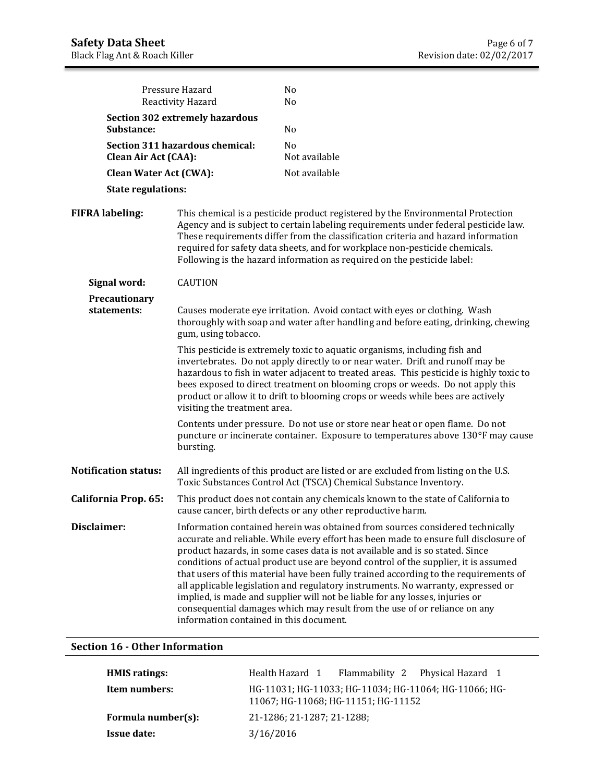|                               | Pressure Hazard<br>Reactivity Hazard                                                                                                                                                   | No<br>N <sub>0</sub>                                                                                                                                                                                                                                                                                                                                                                                                                                                                                                                                                                                                                                                                 |
|-------------------------------|----------------------------------------------------------------------------------------------------------------------------------------------------------------------------------------|--------------------------------------------------------------------------------------------------------------------------------------------------------------------------------------------------------------------------------------------------------------------------------------------------------------------------------------------------------------------------------------------------------------------------------------------------------------------------------------------------------------------------------------------------------------------------------------------------------------------------------------------------------------------------------------|
| Substance:                    | <b>Section 302 extremely hazardous</b>                                                                                                                                                 | N <sub>0</sub>                                                                                                                                                                                                                                                                                                                                                                                                                                                                                                                                                                                                                                                                       |
| <b>Clean Air Act (CAA):</b>   | Section 311 hazardous chemical:                                                                                                                                                        | N <sub>o</sub><br>Not available                                                                                                                                                                                                                                                                                                                                                                                                                                                                                                                                                                                                                                                      |
| <b>Clean Water Act (CWA):</b> |                                                                                                                                                                                        | Not available                                                                                                                                                                                                                                                                                                                                                                                                                                                                                                                                                                                                                                                                        |
| <b>State regulations:</b>     |                                                                                                                                                                                        |                                                                                                                                                                                                                                                                                                                                                                                                                                                                                                                                                                                                                                                                                      |
| <b>FIFRA labeling:</b>        |                                                                                                                                                                                        | This chemical is a pesticide product registered by the Environmental Protection<br>Agency and is subject to certain labeling requirements under federal pesticide law.<br>These requirements differ from the classification criteria and hazard information<br>required for safety data sheets, and for workplace non-pesticide chemicals.<br>Following is the hazard information as required on the pesticide label:                                                                                                                                                                                                                                                                |
| Signal word:                  | CAUTION                                                                                                                                                                                |                                                                                                                                                                                                                                                                                                                                                                                                                                                                                                                                                                                                                                                                                      |
| Precautionary<br>statements:  | Causes moderate eye irritation. Avoid contact with eyes or clothing. Wash<br>thoroughly with soap and water after handling and before eating, drinking, chewing<br>gum, using tobacco. |                                                                                                                                                                                                                                                                                                                                                                                                                                                                                                                                                                                                                                                                                      |
|                               | visiting the treatment area.                                                                                                                                                           | This pesticide is extremely toxic to aquatic organisms, including fish and<br>invertebrates. Do not apply directly to or near water. Drift and runoff may be<br>hazardous to fish in water adjacent to treated areas. This pesticide is highly toxic to<br>bees exposed to direct treatment on blooming crops or weeds. Do not apply this<br>product or allow it to drift to blooming crops or weeds while bees are actively                                                                                                                                                                                                                                                         |
|                               | bursting.                                                                                                                                                                              | Contents under pressure. Do not use or store near heat or open flame. Do not<br>puncture or incinerate container. Exposure to temperatures above 130°F may cause                                                                                                                                                                                                                                                                                                                                                                                                                                                                                                                     |
| <b>Notification status:</b>   |                                                                                                                                                                                        | All ingredients of this product are listed or are excluded from listing on the U.S.<br>Toxic Substances Control Act (TSCA) Chemical Substance Inventory.                                                                                                                                                                                                                                                                                                                                                                                                                                                                                                                             |
| California Prop. 65:          |                                                                                                                                                                                        | This product does not contain any chemicals known to the state of California to<br>cause cancer, birth defects or any other reproductive harm.                                                                                                                                                                                                                                                                                                                                                                                                                                                                                                                                       |
| <b>Disclaimer:</b>            | information contained in this document.                                                                                                                                                | Information contained herein was obtained from sources considered technically<br>accurate and reliable. While every effort has been made to ensure full disclosure of<br>product hazards, in some cases data is not available and is so stated. Since<br>conditions of actual product use are beyond control of the supplier, it is assumed<br>that users of this material have been fully trained according to the requirements of<br>all applicable legislation and regulatory instruments. No warranty, expressed or<br>implied, is made and supplier will not be liable for any losses, injuries or<br>consequential damages which may result from the use of or reliance on any |

## **Section 16 - Other Information**

| <b>HMIS</b> ratings: | Flammability 2 Physical Hazard 1<br>Health Hazard 1                                          |
|----------------------|----------------------------------------------------------------------------------------------|
| Item numbers:        | HG-11031; HG-11033; HG-11034; HG-11064; HG-11066; HG-<br>11067; HG-11068; HG-11151; HG-11152 |
| Formula number(s):   | 21-1286; 21-1287; 21-1288;                                                                   |
| <b>Issue date:</b>   | 3/16/2016                                                                                    |